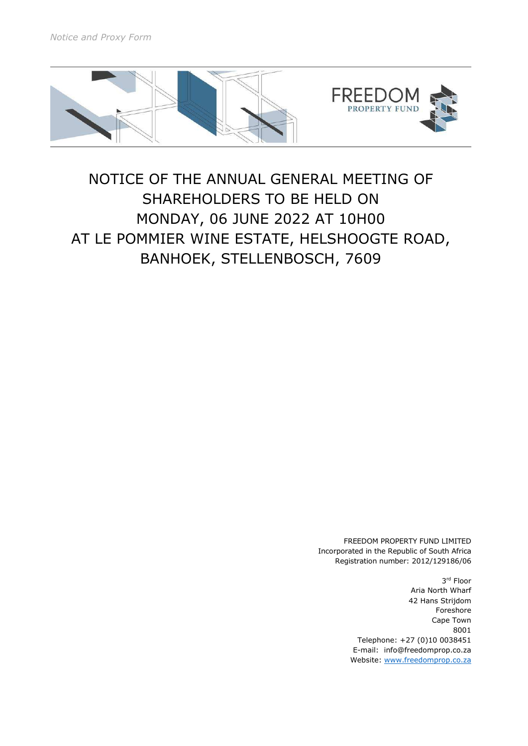

# NOTICE OF THE ANNUAL GENERAL MEETING OF SHAREHOLDERS TO BE HELD ON MONDAY, 06 JUNE 2022 AT 10H00 AT LE POMMIER WINE ESTATE, HELSHOOGTE ROAD, BANHOEK, STELLENBOSCH, 7609

FREEDOM PROPERTY FUND LIMITED Incorporated in the Republic of South Africa Registration number: 2012/129186/06

> 3 rd Floor Aria North Wharf 42 Hans Strijdom Foreshore Cape Town 8001 Telephone: +27 (0)10 0038451 E-mail: info@freedomprop.co.za Website: www.freedomprop.co.za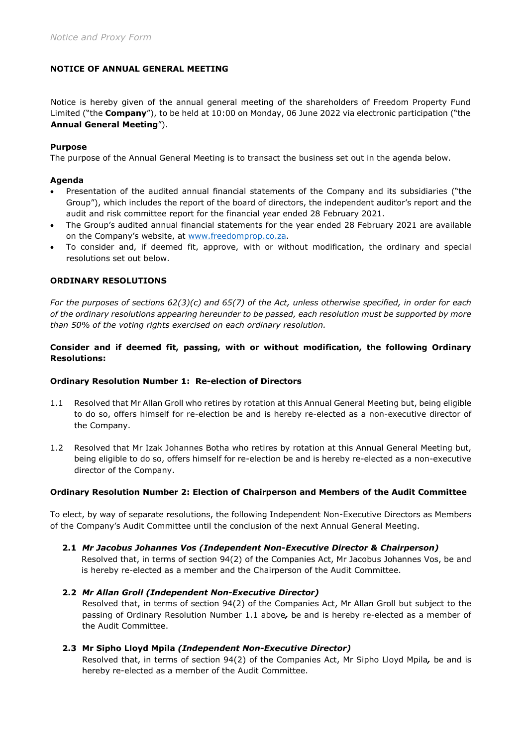# NOTICE OF ANNUAL GENERAL MEETING

Notice is hereby given of the annual general meeting of the shareholders of Freedom Property Fund Limited ("the **Company**"), to be held at 10:00 on Monday, 06 June 2022 via electronic participation ("the Annual General Meeting").

# Purpose

The purpose of the Annual General Meeting is to transact the business set out in the agenda below.

# Agenda

- Presentation of the audited annual financial statements of the Company and its subsidiaries ("the Group"), which includes the report of the board of directors, the independent auditor's report and the audit and risk committee report for the financial year ended 28 February 2021.
- The Group's audited annual financial statements for the year ended 28 February 2021 are available on the Company's website, at www.freedomprop.co.za.
- To consider and, if deemed fit, approve, with or without modification, the ordinary and special resolutions set out below.

#### ORDINARY RESOLUTIONS

For the purposes of sections 62(3)(c) and 65(7) of the Act, unless otherwise specified, in order for each of the ordinary resolutions appearing hereunder to be passed, each resolution must be supported by more than 50% of the voting rights exercised on each ordinary resolution.

# Consider and if deemed fit, passing, with or without modification, the following Ordinary Resolutions:

#### Ordinary Resolution Number 1: Re-election of Directors

- 1.1 Resolved that Mr Allan Groll who retires by rotation at this Annual General Meeting but, being eligible to do so, offers himself for re-election be and is hereby re-elected as a non-executive director of the Company.
- 1.2 Resolved that Mr Izak Johannes Botha who retires by rotation at this Annual General Meeting but, being eligible to do so, offers himself for re-election be and is hereby re-elected as a non-executive director of the Company.

#### Ordinary Resolution Number 2: Election of Chairperson and Members of the Audit Committee

To elect, by way of separate resolutions, the following Independent Non-Executive Directors as Members of the Company's Audit Committee until the conclusion of the next Annual General Meeting.

2.1 Mr Jacobus Johannes Vos (Independent Non-Executive Director & Chairperson)

Resolved that, in terms of section 94(2) of the Companies Act, Mr Jacobus Johannes Vos, be and is hereby re-elected as a member and the Chairperson of the Audit Committee.

#### 2.2 Mr Allan Groll (Independent Non-Executive Director) Resolved that, in terms of section 94(2) of the Companies Act, Mr Allan Groll but subject to the passing of Ordinary Resolution Number 1.1 above, be and is hereby re-elected as a member of the Audit Committee.

#### 2.3 Mr Sipho Lloyd Mpila (Independent Non-Executive Director)

Resolved that, in terms of section 94(2) of the Companies Act, Mr Sipho Lloyd Mpila, be and is hereby re-elected as a member of the Audit Committee.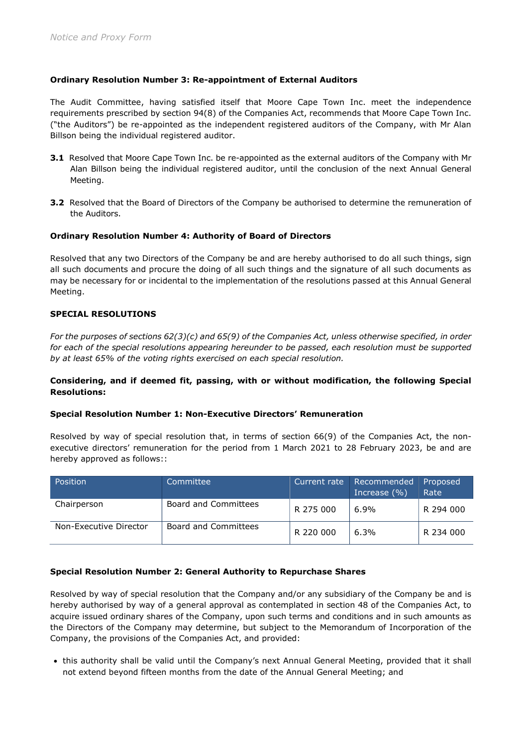# Ordinary Resolution Number 3: Re-appointment of External Auditors

The Audit Committee, having satisfied itself that Moore Cape Town Inc. meet the independence requirements prescribed by section 94(8) of the Companies Act, recommends that Moore Cape Town Inc. ("the Auditors") be re-appointed as the independent registered auditors of the Company, with Mr Alan Billson being the individual registered auditor.

- 3.1 Resolved that Moore Cape Town Inc. be re-appointed as the external auditors of the Company with Mr Alan Billson being the individual registered auditor, until the conclusion of the next Annual General Meeting.
- 3.2 Resolved that the Board of Directors of the Company be authorised to determine the remuneration of the Auditors.

# Ordinary Resolution Number 4: Authority of Board of Directors

Resolved that any two Directors of the Company be and are hereby authorised to do all such things, sign all such documents and procure the doing of all such things and the signature of all such documents as may be necessary for or incidental to the implementation of the resolutions passed at this Annual General Meeting.

# SPECIAL RESOLUTIONS

For the purposes of sections 62(3)(c) and 65(9) of the Companies Act, unless otherwise specified, in order for each of the special resolutions appearing hereunder to be passed, each resolution must be supported by at least 65% of the voting rights exercised on each special resolution.

# Considering, and if deemed fit, passing, with or without modification, the following Special Resolutions:

# Special Resolution Number 1: Non-Executive Directors' Remuneration

Resolved by way of special resolution that, in terms of section 66(9) of the Companies Act, the nonexecutive directors' remuneration for the period from 1 March 2021 to 28 February 2023, be and are hereby approved as follows::

| Position               | Committee            | Current rate | Recommended<br>Increase $(\% )$ | Proposed<br>Rate |
|------------------------|----------------------|--------------|---------------------------------|------------------|
| Chairperson            | Board and Committees | R 275 000    | $6.9\%$                         | R 294 000        |
| Non-Executive Director | Board and Committees | R 220 000    | 6.3%                            | R 234 000        |

# Special Resolution Number 2: General Authority to Repurchase Shares

Resolved by way of special resolution that the Company and/or any subsidiary of the Company be and is hereby authorised by way of a general approval as contemplated in section 48 of the Companies Act, to acquire issued ordinary shares of the Company, upon such terms and conditions and in such amounts as the Directors of the Company may determine, but subject to the Memorandum of Incorporation of the Company, the provisions of the Companies Act, and provided:

 this authority shall be valid until the Company's next Annual General Meeting, provided that it shall not extend beyond fifteen months from the date of the Annual General Meeting; and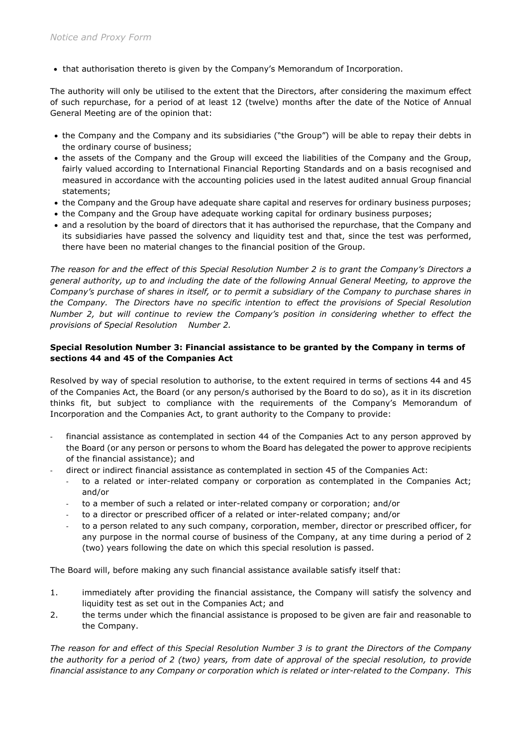that authorisation thereto is given by the Company's Memorandum of Incorporation.

The authority will only be utilised to the extent that the Directors, after considering the maximum effect of such repurchase, for a period of at least 12 (twelve) months after the date of the Notice of Annual General Meeting are of the opinion that:

- the Company and the Company and its subsidiaries ("the Group") will be able to repay their debts in the ordinary course of business;
- the assets of the Company and the Group will exceed the liabilities of the Company and the Group, fairly valued according to International Financial Reporting Standards and on a basis recognised and measured in accordance with the accounting policies used in the latest audited annual Group financial statements;
- the Company and the Group have adequate share capital and reserves for ordinary business purposes;
- the Company and the Group have adequate working capital for ordinary business purposes;
- and a resolution by the board of directors that it has authorised the repurchase, that the Company and its subsidiaries have passed the solvency and liquidity test and that, since the test was performed, there have been no material changes to the financial position of the Group.

The reason for and the effect of this Special Resolution Number 2 is to grant the Company's Directors a general authority, up to and including the date of the following Annual General Meeting, to approve the Company's purchase of shares in itself, or to permit a subsidiary of the Company to purchase shares in the Company. The Directors have no specific intention to effect the provisions of Special Resolution Number 2, but will continue to review the Company's position in considering whether to effect the provisions of Special Resolution Number 2.

# Special Resolution Number 3: Financial assistance to be granted by the Company in terms of sections 44 and 45 of the Companies Act

Resolved by way of special resolution to authorise, to the extent required in terms of sections 44 and 45 of the Companies Act, the Board (or any person/s authorised by the Board to do so), as it in its discretion thinks fit, but subject to compliance with the requirements of the Company's Memorandum of Incorporation and the Companies Act, to grant authority to the Company to provide:

- financial assistance as contemplated in section 44 of the Companies Act to any person approved by the Board (or any person or persons to whom the Board has delegated the power to approve recipients of the financial assistance); and
- direct or indirect financial assistance as contemplated in section 45 of the Companies Act:
	- to a related or inter-related company or corporation as contemplated in the Companies Act; and/or
	- to a member of such a related or inter-related company or corporation; and/or
	- to a director or prescribed officer of a related or inter-related company; and/or
	- to a person related to any such company, corporation, member, director or prescribed officer, for any purpose in the normal course of business of the Company, at any time during a period of 2 (two) years following the date on which this special resolution is passed.

The Board will, before making any such financial assistance available satisfy itself that:

- 1. immediately after providing the financial assistance, the Company will satisfy the solvency and liquidity test as set out in the Companies Act; and
- 2. the terms under which the financial assistance is proposed to be given are fair and reasonable to the Company.

The reason for and effect of this Special Resolution Number 3 is to grant the Directors of the Company the authority for a period of 2 (two) years, from date of approval of the special resolution, to provide financial assistance to any Company or corporation which is related or inter-related to the Company. This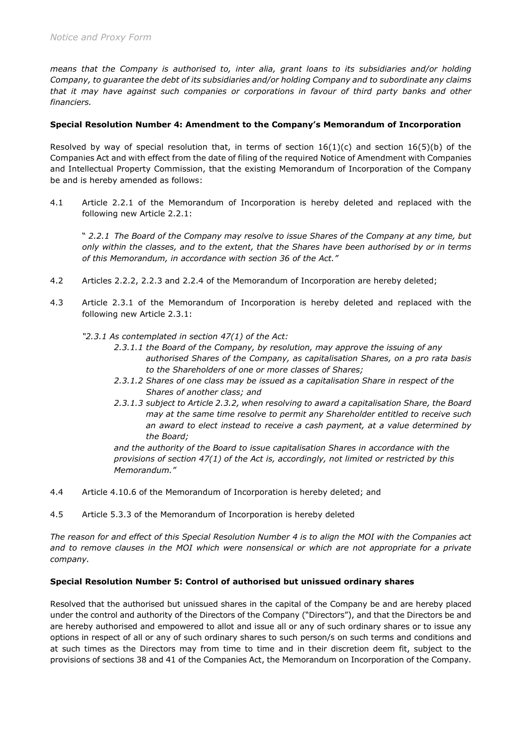means that the Company is authorised to, inter alia, grant loans to its subsidiaries and/or holding Company, to guarantee the debt of its subsidiaries and/or holding Company and to subordinate any claims that it may have against such companies or corporations in favour of third party banks and other financiers.

# Special Resolution Number 4: Amendment to the Company's Memorandum of Incorporation

Resolved by way of special resolution that, in terms of section  $16(1)(c)$  and section  $16(5)(b)$  of the Companies Act and with effect from the date of filing of the required Notice of Amendment with Companies and Intellectual Property Commission, that the existing Memorandum of Incorporation of the Company be and is hereby amended as follows:

4.1 Article 2.2.1 of the Memorandum of Incorporation is hereby deleted and replaced with the following new Article 2.2.1:

" 2.2.1 The Board of the Company may resolve to issue Shares of the Company at any time, but only within the classes, and to the extent, that the Shares have been authorised by or in terms of this Memorandum, in accordance with section 36 of the Act."

- 4.2 Articles 2.2.2, 2.2.3 and 2.2.4 of the Memorandum of Incorporation are hereby deleted;
- 4.3 Article 2.3.1 of the Memorandum of Incorporation is hereby deleted and replaced with the following new Article 2.3.1:

"2.3.1 As contemplated in section 47(1) of the Act:

- 2.3.1.1 the Board of the Company, by resolution, may approve the issuing of any authorised Shares of the Company, as capitalisation Shares, on a pro rata basis to the Shareholders of one or more classes of Shares;
- 2.3.1.2 Shares of one class may be issued as a capitalisation Share in respect of the Shares of another class; and
- 2.3.1.3 subject to Article 2.3.2, when resolving to award a capitalisation Share, the Board may at the same time resolve to permit any Shareholder entitled to receive such an award to elect instead to receive a cash payment, at a value determined by the Board;

 and the authority of the Board to issue capitalisation Shares in accordance with the provisions of section 47(1) of the Act is, accordingly, not limited or restricted by this Memorandum."

- 4.4 Article 4.10.6 of the Memorandum of Incorporation is hereby deleted; and
- 4.5 Article 5.3.3 of the Memorandum of Incorporation is hereby deleted

The reason for and effect of this Special Resolution Number 4 is to align the MOI with the Companies act and to remove clauses in the MOI which were nonsensical or which are not appropriate for a private company.

# Special Resolution Number 5: Control of authorised but unissued ordinary shares

Resolved that the authorised but unissued shares in the capital of the Company be and are hereby placed under the control and authority of the Directors of the Company ("Directors"), and that the Directors be and are hereby authorised and empowered to allot and issue all or any of such ordinary shares or to issue any options in respect of all or any of such ordinary shares to such person/s on such terms and conditions and at such times as the Directors may from time to time and in their discretion deem fit, subject to the provisions of sections 38 and 41 of the Companies Act, the Memorandum on Incorporation of the Company.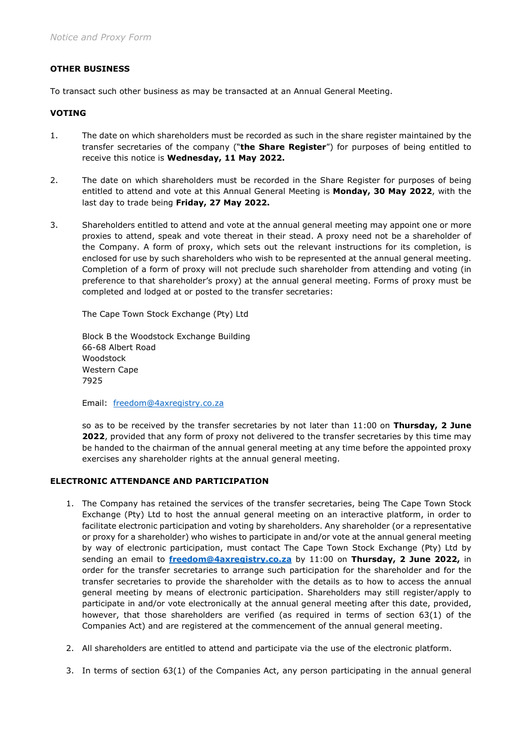# OTHER BUSINESS

To transact such other business as may be transacted at an Annual General Meeting.

# VOTING

- 1. The date on which shareholders must be recorded as such in the share register maintained by the transfer secretaries of the company ("the Share Register") for purposes of being entitled to receive this notice is Wednesday, 11 May 2022.
- 2. The date on which shareholders must be recorded in the Share Register for purposes of being entitled to attend and vote at this Annual General Meeting is Monday, 30 May 2022, with the last day to trade being Friday, 27 May 2022.
- 3. Shareholders entitled to attend and vote at the annual general meeting may appoint one or more proxies to attend, speak and vote thereat in their stead. A proxy need not be a shareholder of the Company. A form of proxy, which sets out the relevant instructions for its completion, is enclosed for use by such shareholders who wish to be represented at the annual general meeting. Completion of a form of proxy will not preclude such shareholder from attending and voting (in preference to that shareholder's proxy) at the annual general meeting. Forms of proxy must be completed and lodged at or posted to the transfer secretaries:

The Cape Town Stock Exchange (Pty) Ltd

Block B the Woodstock Exchange Building 66-68 Albert Road Woodstock Western Cape 7925

Email: freedom@4axregistry.co.za

so as to be received by the transfer secretaries by not later than  $11:00$  on Thursday, 2 June 2022, provided that any form of proxy not delivered to the transfer secretaries by this time may be handed to the chairman of the annual general meeting at any time before the appointed proxy exercises any shareholder rights at the annual general meeting.

# ELECTRONIC ATTENDANCE AND PARTICIPATION

- 1. The Company has retained the services of the transfer secretaries, being The Cape Town Stock Exchange (Pty) Ltd to host the annual general meeting on an interactive platform, in order to facilitate electronic participation and voting by shareholders. Any shareholder (or a representative or proxy for a shareholder) who wishes to participate in and/or vote at the annual general meeting by way of electronic participation, must contact The Cape Town Stock Exchange (Pty) Ltd by sending an email to freedom@4axregistry.co.za by 11:00 on Thursday, 2 June 2022, in order for the transfer secretaries to arrange such participation for the shareholder and for the transfer secretaries to provide the shareholder with the details as to how to access the annual general meeting by means of electronic participation. Shareholders may still register/apply to participate in and/or vote electronically at the annual general meeting after this date, provided, however, that those shareholders are verified (as required in terms of section 63(1) of the Companies Act) and are registered at the commencement of the annual general meeting.
- 2. All shareholders are entitled to attend and participate via the use of the electronic platform.
- 3. In terms of section 63(1) of the Companies Act, any person participating in the annual general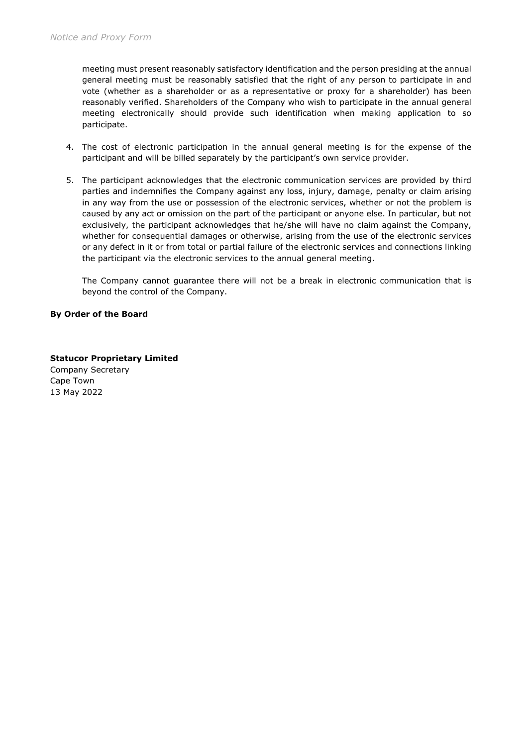meeting must present reasonably satisfactory identification and the person presiding at the annual general meeting must be reasonably satisfied that the right of any person to participate in and vote (whether as a shareholder or as a representative or proxy for a shareholder) has been reasonably verified. Shareholders of the Company who wish to participate in the annual general meeting electronically should provide such identification when making application to so participate.

- 4. The cost of electronic participation in the annual general meeting is for the expense of the participant and will be billed separately by the participant's own service provider.
- 5. The participant acknowledges that the electronic communication services are provided by third parties and indemnifies the Company against any loss, injury, damage, penalty or claim arising in any way from the use or possession of the electronic services, whether or not the problem is caused by any act or omission on the part of the participant or anyone else. In particular, but not exclusively, the participant acknowledges that he/she will have no claim against the Company, whether for consequential damages or otherwise, arising from the use of the electronic services or any defect in it or from total or partial failure of the electronic services and connections linking the participant via the electronic services to the annual general meeting.

The Company cannot guarantee there will not be a break in electronic communication that is beyond the control of the Company.

# By Order of the Board

Statucor Proprietary Limited Company Secretary Cape Town 13 May 2022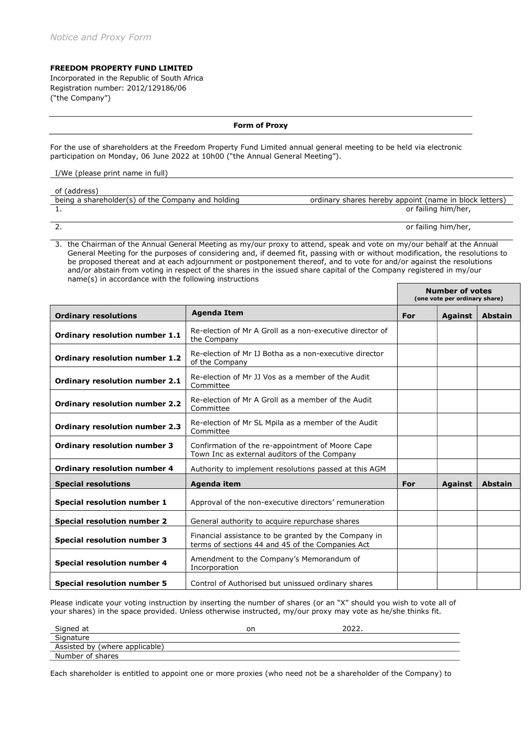#### FREEDOM PROPERTY FUND LIMITED

Incorporated in the Republic of South Africa Registration number: 2012/129186/06 ("the Company")

#### Form of Proxy

For the use of shareholders at the Freedom Property Fund Limited annual general meeting to be held via electronic participation on Monday, 06 June 2022 at 10h00 ("the Annual General Meeting").

#### I/We (please print name in full)

| of (address)                                      |                                                        |
|---------------------------------------------------|--------------------------------------------------------|
| being a shareholder(s) of the Company and holding | ordinary shares hereby appoint (name in block letters) |
|                                                   | or failing him/her,                                    |
|                                                   | or failing him/her,                                    |

3. the Chairman of the Annual General Meeting as my/our proxy to attend, speak and vote on my/our behalf at the Annual General Meeting for the purposes of considering and, if deemed fit, passing with or without modification, the resolutions to be proposed thereat and at each adjournment or postponement thereof, and to vote for and/or against the resolutions and/or abstain from voting in respect of the shares in the issued share capital of the Company registered in my/our name(s) in accordance with the following instructions

٦

|                                       |                                                                                                          | <b>Number of votes</b><br>(one vote per ordinary share) |                |                |
|---------------------------------------|----------------------------------------------------------------------------------------------------------|---------------------------------------------------------|----------------|----------------|
| <b>Ordinary resolutions</b>           | <b>Agenda Item</b>                                                                                       | For                                                     | <b>Against</b> | <b>Abstain</b> |
| Ordinary resolution number 1.1        | Re-election of Mr A Groll as a non-executive director of<br>the Company                                  |                                                         |                |                |
| <b>Ordinary resolution number 1.2</b> | Re-election of Mr IJ Botha as a non-executive director<br>of the Company                                 |                                                         |                |                |
| Ordinary resolution number 2.1        | Re-election of Mr JJ Vos as a member of the Audit<br>Committee                                           |                                                         |                |                |
| <b>Ordinary resolution number 2.2</b> | Re-election of Mr A Groll as a member of the Audit<br>Committee                                          |                                                         |                |                |
| <b>Ordinary resolution number 2.3</b> | Re-election of Mr SL Mpila as a member of the Audit<br>Committee                                         |                                                         |                |                |
| <b>Ordinary resolution number 3</b>   | Confirmation of the re-appointment of Moore Cape<br>Town Inc as external auditors of the Company         |                                                         |                |                |
| <b>Ordinary resolution number 4</b>   | Authority to implement resolutions passed at this AGM                                                    |                                                         |                |                |
| <b>Special resolutions</b>            | Agenda item                                                                                              | For                                                     | <b>Against</b> | <b>Abstain</b> |
| Special resolution number 1           | Approval of the non-executive directors' remuneration                                                    |                                                         |                |                |
| <b>Special resolution number 2</b>    | General authority to acquire repurchase shares                                                           |                                                         |                |                |
| <b>Special resolution number 3</b>    | Financial assistance to be granted by the Company in<br>terms of sections 44 and 45 of the Companies Act |                                                         |                |                |
| <b>Special resolution number 4</b>    | Amendment to the Company's Memorandum of<br>Incorporation                                                |                                                         |                |                |
| <b>Special resolution number 5</b>    | Control of Authorised but unissued ordinary shares                                                       |                                                         |                |                |

Please indicate your voting instruction by inserting the number of shares (or an "X" should you wish to vote all of your shares) in the space provided. Unless otherwise instructed, my/our proxy may vote as he/she thinks fit.

| Signed at                      | or | ־ר∩ר |
|--------------------------------|----|------|
| Signature                      |    |      |
| Assisted by (where applicable) |    |      |
| Number of shares               |    |      |
|                                |    |      |

Each shareholder is entitled to appoint one or more proxies (who need not be a shareholder of the Company) to